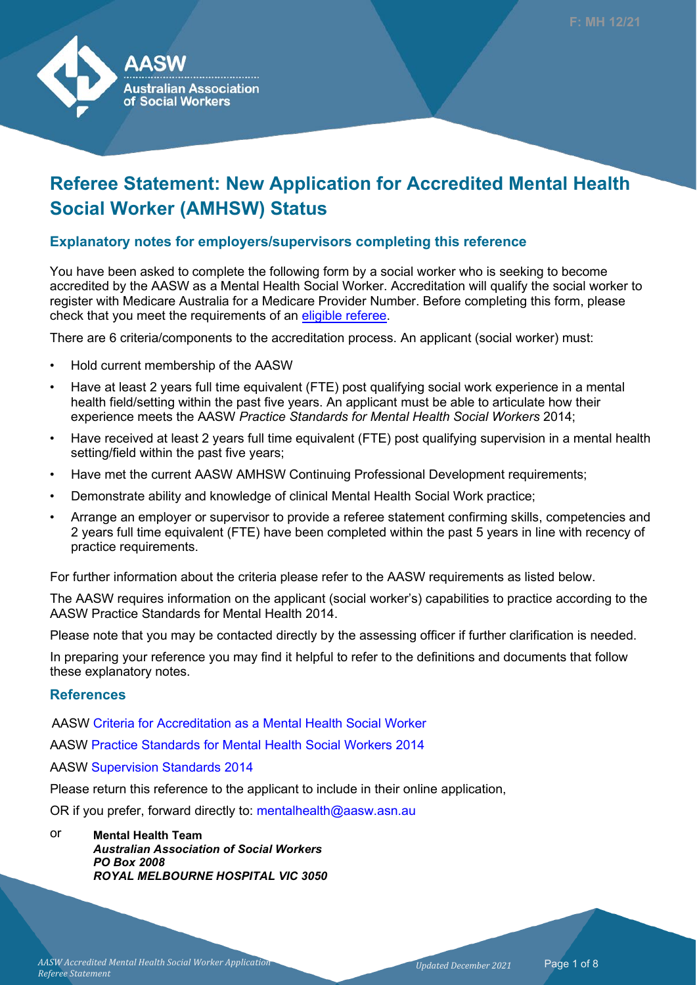

# **Referee Statement: New Application for Accredited Mental Health Social Worker (AMHSW) Status**

#### **Explanatory notes for employers/supervisors completing this reference**

You have been asked to complete the following form by a social worker who is seeking to become accredited by the AASW as a Mental Health Social Worker. Accreditation will qualify the social worker to register with Medicare Australia for a Medicare Provider Number. Before completing this form, please check that you meet the requirements of an [eligible referee](https://www.aasw.asn.au/membership-information/referee-statement-templates).

There are 6 criteria/components to the accreditation process. An applicant (social worker) must:

- Hold current membership of the AASW
- Have at least 2 years full time equivalent (FTE) post qualifying social work experience in a mental health field/setting within the past five years. An applicant must be able to articulate how their experience meets the AASW *Practice Standards for Mental Health Social Workers* 2014;
- Have received at least 2 years full time equivalent (FTE) post qualifying supervision in a mental health setting/field within the past five years;
- Have met the current AASW AMHSW Continuing Professional Development requirements;
- Demonstrate ability and knowledge of clinical Mental Health Social Work practice;
- Arrange an employer or supervisor to provide a referee statement confirming skills, competencies and 2 years full time equivalent (FTE) have been completed within the past 5 years in line with recency of practice requirements.

For further information about the criteria please refer to the AASW requirements as listed below.

The AASW requires information on the applicant (social worker's) capabilities to practice according to the AASW Practice Standards for Mental Health 2014.

Please note that you may be contacted directly by the assessing officer if further clarification is needed.

In preparing your reference you may find it helpful to refer to the definitions and documents that follow these explanatory notes.

#### **References**

AASW [Criteria for Accreditation as a Mental Health Social Worker](https://www.aasw.asn.au/membership-information/information-for-applying-for-the-accredited-mental-health-social-worker-credential)

AASW [Practice Standards for Mental Health Social Workers](https://www.aasw.asn.au/document/item/6739) 2014

AASW [Supervision Standards 2014](https://www.aasw.asn.au/document/item/6027)

Please return this reference to the applicant to include in their online application,

OR if you prefer, forward directly to: mentalhealth@aasw.asn.au

#### or **Mental Health Team** *Australian Association of Social Workers PO Box 2008 ROYAL MELBOURNE HOSPITAL VIC 3050*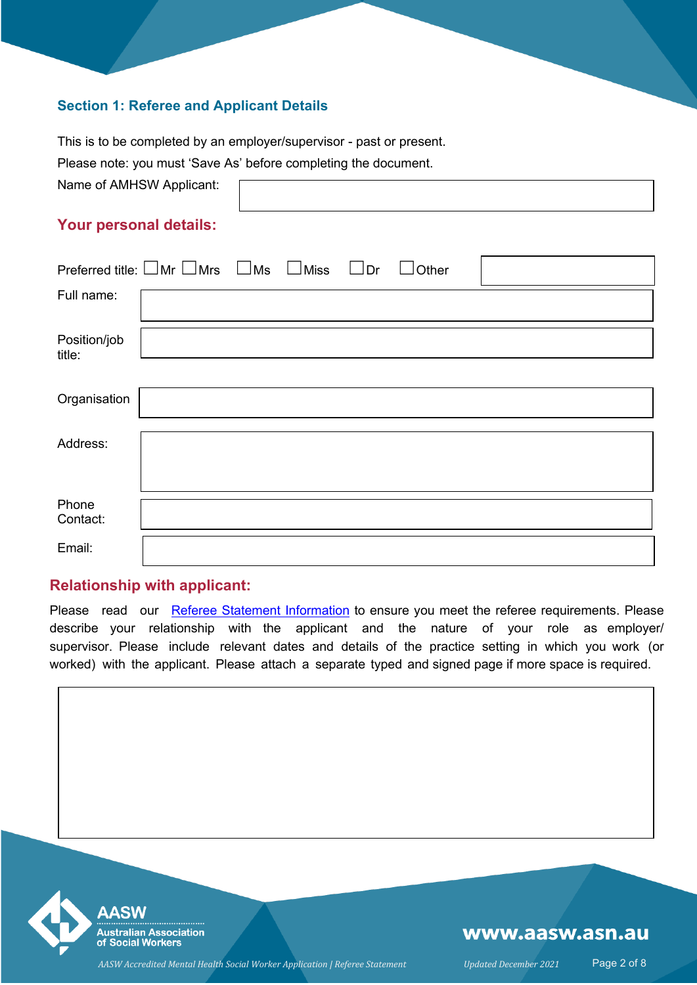#### **Section 1: Referee and Applicant Details**

This is to be completed by an employer/supervisor - past or present.

Please note: you must 'Save As' before completing the document.

Name of AMHSW Applicant:

## **Your personal details:**

| Preferred title: $\Box$ Mr $\Box$ Mrs $\Box$ Ms $\Box$ Miss |  | $\Box$ Dr | $\vert$ Other |  |
|-------------------------------------------------------------|--|-----------|---------------|--|
| Full name:                                                  |  |           |               |  |
| Position/job<br>title:                                      |  |           |               |  |
| Organisation                                                |  |           |               |  |
| Address:                                                    |  |           |               |  |
| Phone<br>Contact:                                           |  |           |               |  |
| Email:                                                      |  |           |               |  |

#### **Relationship with applicant:**

Please read our [Referee Statement Information t](https://www.aasw.asn.au/membership-information/referee-statement-information-templates)o ensure you meet the referee requirements. Please describe your relationship with the applicant and the nature of your role as employer/ supervisor. Please include relevant dates and details of the practice setting in which you work (or worked) with the applicant. Please attach a separate typed and signed page if more space is required.



## www.aasw.asn.au

*AASW Accredited Mental Health Social Worker Application | Referee Statement Updated December 2021* Page 2 of 8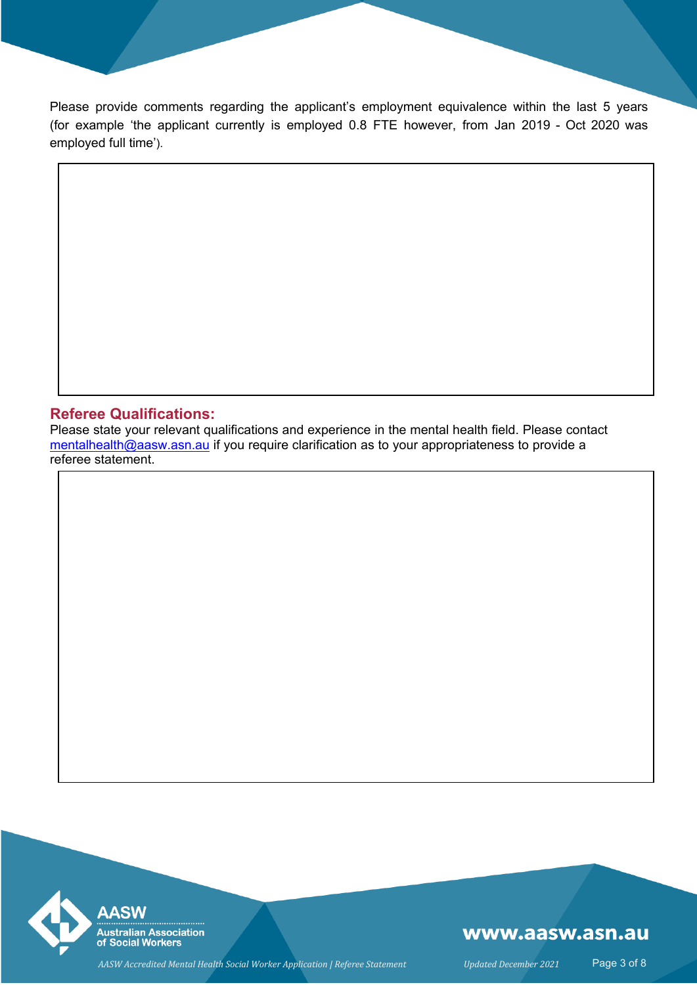Please provide comments regarding the applicant's employment equivalence within the last 5 years (for example 'the applicant currently is employed 0.8 FTE however, from Jan 2019 - Oct 2020 was employed full time').

#### **Referee Qualifications:**

Please state your relevant qualifications and experience in the mental health field. Please contact [mentalhealth@aasw.asn.au](mailto:mentalhealth@aasw.asn.au?subject=AMHSW Referee form query) if you require clarification as to your appropriateness to provide a referee statement.



## www.aasw.asn.au

*AASW Accredited Mental Health Social Worker Application | Referee Statement Updated December 2021* Page 3 of 8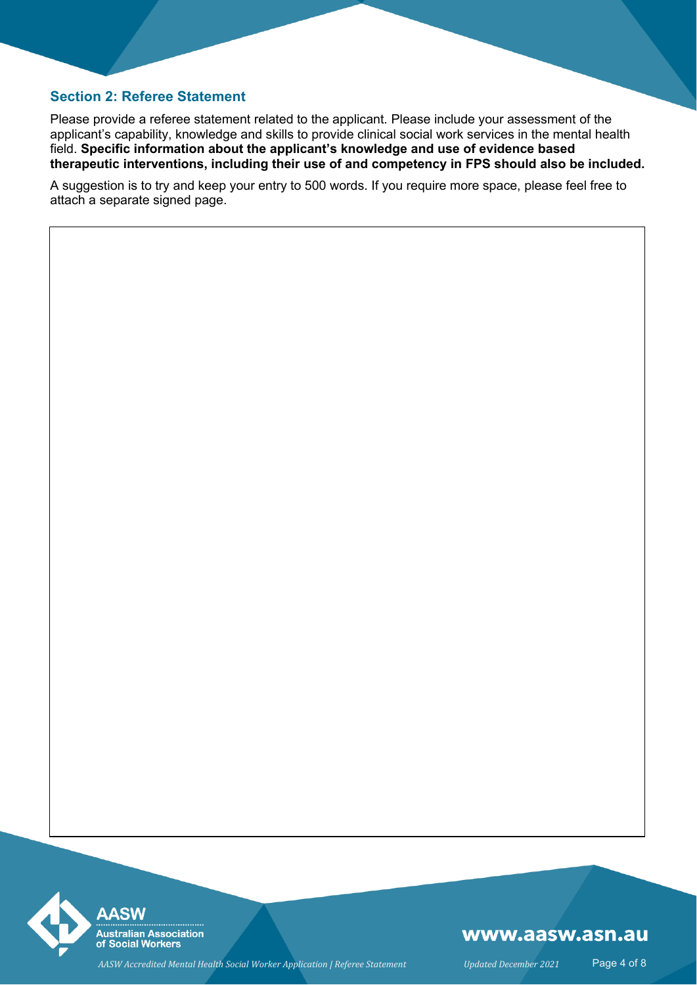#### **Section 2: Referee Statement**

Please provide a referee statement related to the applicant. Please include your assessment of the applicant's capability, knowledge and skills to provide clinical social work services in the mental health field. **Specific information about the applicant's knowledge and use of evidence based therapeutic interventions, including their use of and competency in FPS should also be included.**

A suggestion is to try and keep your entry to 500 words. If you require more space, please feel free to attach a separate signed page.



### www.aasw.asn.au

*AASW Accredited Mental Health Social Worker Application | Referee Statement Updated December 2021* Page 4 of 8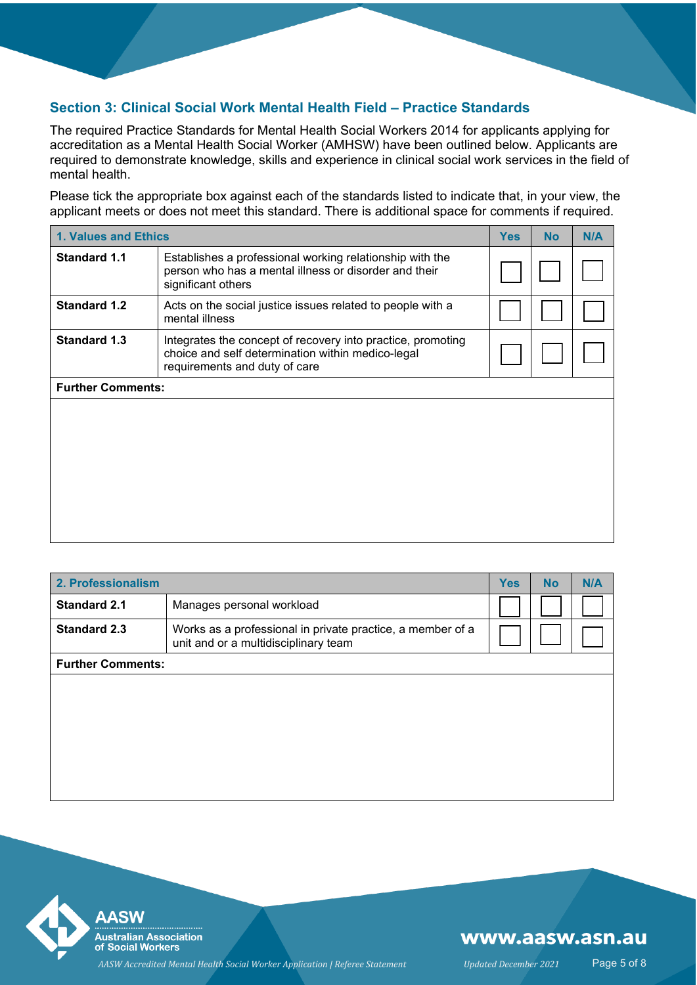#### **Section 3: Clinical Social Work Mental Health Field – Practice Standards**

The required Practice Standards for Mental Health Social Workers 2014 for applicants applying for accreditation as a Mental Health Social Worker (AMHSW) have been outlined below. Applicants are required to demonstrate knowledge, skills and experience in clinical social work services in the field of mental health.

Please tick the appropriate box against each of the standards listed to indicate that, in your view, the applicant meets or does not meet this standard. There is additional space for comments if required.

| 1. Values and Ethics                                                                                                                                                     |                                                                                                                                         |  | <b>No</b> | N/A |
|--------------------------------------------------------------------------------------------------------------------------------------------------------------------------|-----------------------------------------------------------------------------------------------------------------------------------------|--|-----------|-----|
| <b>Standard 1.1</b>                                                                                                                                                      | Establishes a professional working relationship with the<br>person who has a mental illness or disorder and their<br>significant others |  |           |     |
| <b>Standard 1.2</b>                                                                                                                                                      | Acts on the social justice issues related to people with a<br>mental illness                                                            |  |           |     |
| <b>Standard 1.3</b><br>Integrates the concept of recovery into practice, promoting<br>choice and self determination within medico-legal<br>requirements and duty of care |                                                                                                                                         |  |           |     |
| <b>Further Comments:</b>                                                                                                                                                 |                                                                                                                                         |  |           |     |
|                                                                                                                                                                          |                                                                                                                                         |  |           |     |
|                                                                                                                                                                          |                                                                                                                                         |  |           |     |

| 2. Professionalism                                                                                                        |                           |  | <b>No</b> | N/A |
|---------------------------------------------------------------------------------------------------------------------------|---------------------------|--|-----------|-----|
| <b>Standard 2.1</b>                                                                                                       | Manages personal workload |  |           |     |
| <b>Standard 2.3</b><br>Works as a professional in private practice, a member of a<br>unit and or a multidisciplinary team |                           |  |           |     |
| <b>Further Comments:</b>                                                                                                  |                           |  |           |     |
|                                                                                                                           |                           |  |           |     |
|                                                                                                                           |                           |  |           |     |
|                                                                                                                           |                           |  |           |     |
|                                                                                                                           |                           |  |           |     |
|                                                                                                                           |                           |  |           |     |
|                                                                                                                           |                           |  |           |     |



### www.aasw.asn.au

*AASW Accredited Mental Health Social Worker Application | Referee Statement Updated December 2021* Page 5 of 8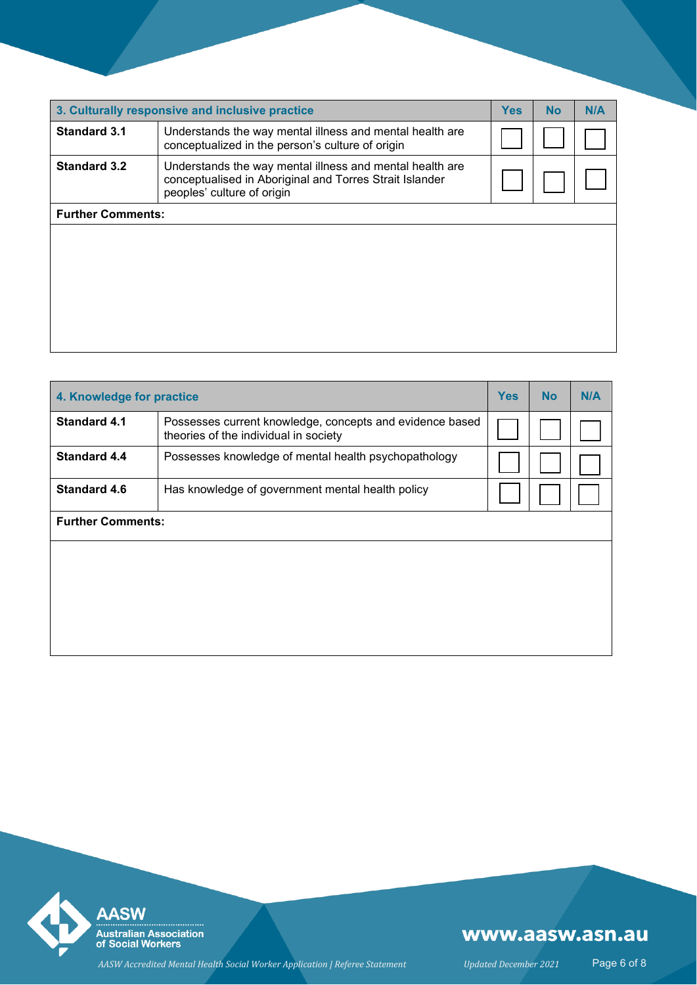| 3. Culturally responsive and inclusive practice                                                                                                                          |  |  | <b>No</b> | N/A |
|--------------------------------------------------------------------------------------------------------------------------------------------------------------------------|--|--|-----------|-----|
| <b>Standard 3.1</b><br>Understands the way mental illness and mental health are<br>conceptualized in the person's culture of origin                                      |  |  |           |     |
| <b>Standard 3.2</b><br>Understands the way mental illness and mental health are<br>conceptualised in Aboriginal and Torres Strait Islander<br>peoples' culture of origin |  |  |           |     |
| <b>Further Comments:</b>                                                                                                                                                 |  |  |           |     |
|                                                                                                                                                                          |  |  |           |     |
|                                                                                                                                                                          |  |  |           |     |
|                                                                                                                                                                          |  |  |           |     |
|                                                                                                                                                                          |  |  |           |     |
|                                                                                                                                                                          |  |  |           |     |
|                                                                                                                                                                          |  |  |           |     |

| 4. Knowledge for practice                                                                                                |                                                      |  | <b>No</b> | N/A |
|--------------------------------------------------------------------------------------------------------------------------|------------------------------------------------------|--|-----------|-----|
| <b>Standard 4.1</b><br>Possesses current knowledge, concepts and evidence based<br>theories of the individual in society |                                                      |  |           |     |
| <b>Standard 4.4</b>                                                                                                      | Possesses knowledge of mental health psychopathology |  |           |     |
| <b>Standard 4.6</b>                                                                                                      | Has knowledge of government mental health policy     |  |           |     |
| <b>Further Comments:</b>                                                                                                 |                                                      |  |           |     |
|                                                                                                                          |                                                      |  |           |     |
|                                                                                                                          |                                                      |  |           |     |
|                                                                                                                          |                                                      |  |           |     |
|                                                                                                                          |                                                      |  |           |     |



## www.aasw.asn.au

*AASW Accredited Mental Health Social Worker Application | Referee Statement Updated December 2021* Page 6 of 8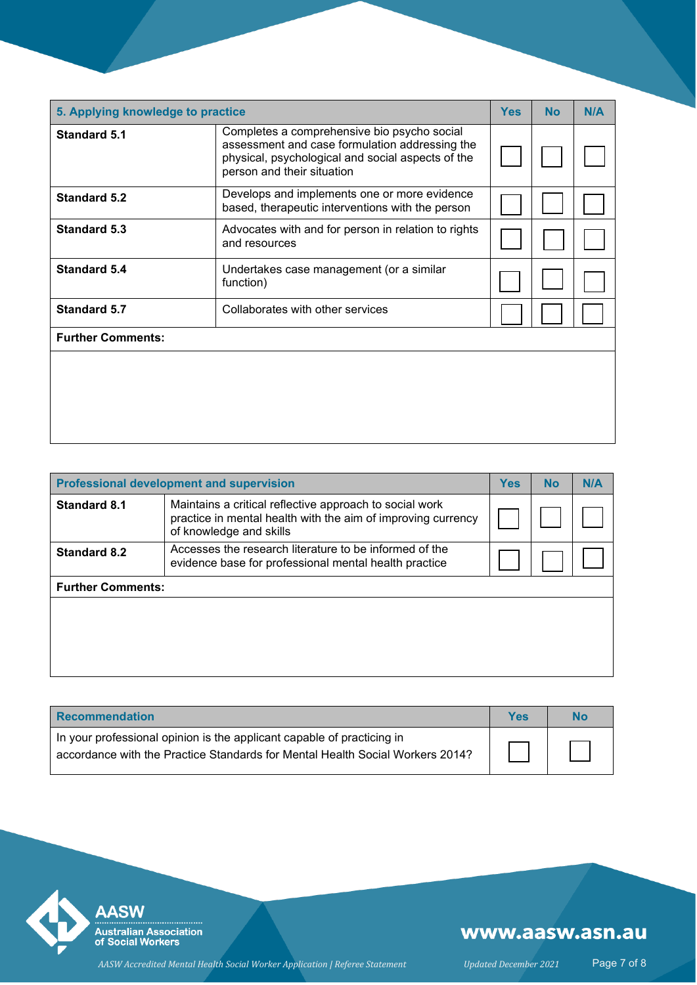| 5. Applying knowledge to practice |                                                                                                                                                                                  |  | <b>No</b> | N/A |  |  |
|-----------------------------------|----------------------------------------------------------------------------------------------------------------------------------------------------------------------------------|--|-----------|-----|--|--|
| <b>Standard 5.1</b>               | Completes a comprehensive bio psycho social<br>assessment and case formulation addressing the<br>physical, psychological and social aspects of the<br>person and their situation |  |           |     |  |  |
| Standard 5.2                      | Develops and implements one or more evidence<br>based, therapeutic interventions with the person                                                                                 |  |           |     |  |  |
| <b>Standard 5.3</b>               | Advocates with and for person in relation to rights<br>and resources                                                                                                             |  |           |     |  |  |
| <b>Standard 5.4</b>               | Undertakes case management (or a similar<br>function)                                                                                                                            |  |           |     |  |  |
| <b>Standard 5.7</b>               | Collaborates with other services                                                                                                                                                 |  |           |     |  |  |
| <b>Further Comments:</b>          |                                                                                                                                                                                  |  |           |     |  |  |
|                                   |                                                                                                                                                                                  |  |           |     |  |  |

| Professional development and supervision                                                                                        |                                                                                                                                                    |  | No | N/A |
|---------------------------------------------------------------------------------------------------------------------------------|----------------------------------------------------------------------------------------------------------------------------------------------------|--|----|-----|
| <b>Standard 8.1</b>                                                                                                             | Maintains a critical reflective approach to social work<br>practice in mental health with the aim of improving currency<br>of knowledge and skills |  |    |     |
| Accesses the research literature to be informed of the<br>Standard 8.2<br>evidence base for professional mental health practice |                                                                                                                                                    |  |    |     |
| <b>Further Comments:</b>                                                                                                        |                                                                                                                                                    |  |    |     |
|                                                                                                                                 |                                                                                                                                                    |  |    |     |

| <b>Recommendation</b>                                                                                                                                   | Yes | No |
|---------------------------------------------------------------------------------------------------------------------------------------------------------|-----|----|
| In your professional opinion is the applicant capable of practicing in<br>accordance with the Practice Standards for Mental Health Social Workers 2014? |     |    |



## www.aasw.asn.au

*AASW Accredited Mental Health Social Worker Application | Referee Statement Updated December 2021* Page 7 of 8